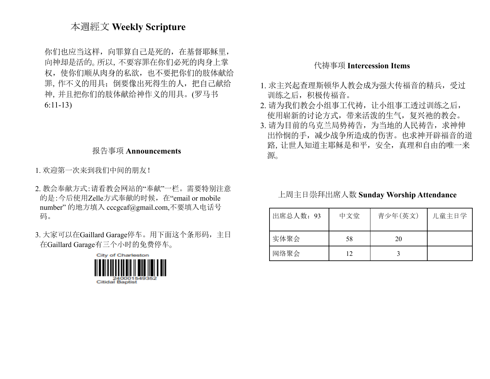## 本週經文 **Weekly Scripture**

你们也应当这样,向罪算自己是死的,在基督耶稣里, 向神却是活的。所以,不要容罪在你们必死的肉身上掌 权,使你们顺从肉身的私欲,也不要把你们的肢体献给 罪,作不义的用具;倒要像出死得生的人,把自己献给 神,并且把你们的肢体献给神作义的用具。(罗马书 6:11-13)

## 报告事项 **Announcements**

- 1. 欢迎第一次来到我们中间的朋友!
- 2. 教会奉献方式:请看教会网站的"奉献"一栏。需要特别注意 的是:今后使用Zelle方式奉献的时候,在"email or mobile number" 的地方填入 [cccgcaf@gmail.com](mailto:cccgcaf@gmail.com),不要填入电话号 码。
- 3. 大家可以在Gaillard Garage停车。用下面这个条形码,主日 在Gaillard Garage有三个小时的免费停车。



## 代祷事项 **Intercession Items**

- 1. 求主兴起查理斯顿华人教会成为强大传福音的精兵,受过 训练之后,积极传福音。
- 2. 请为我们教会小组事工代祷,让小组事工透过训练之后, 使用崭新的讨论方式,带来活泼的生气,复兴祂的教会。
- 3. 请为目前的乌克兰局势祷告,为当地的人民祷告, 求神伸 出怜悯的手,减少战争所造成的伤害。也求神开辟福音的道 路,让世人知道主耶稣是和平,安全,真理和自由的唯一来 源。

## 上周主日崇拜出席人数 **Sunday Worship Attendance**

| 出席总人数: 93 | 中文堂 | 青少年(英文) | 儿童主日学 |
|-----------|-----|---------|-------|
| 实体聚会      | 58  | 20      |       |
| 网络聚会      | 12  |         |       |